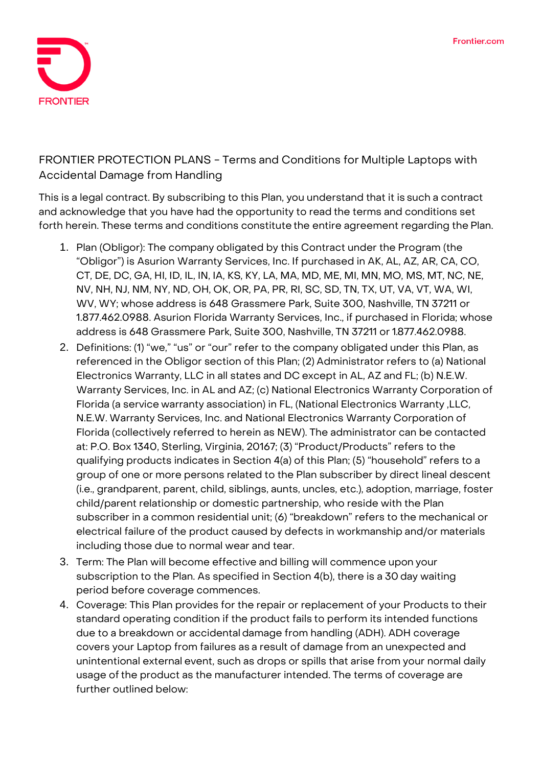

## **FRONTIER PROTECTION PLANS - Terms and Conditions for Multiple Laptops with Accidental Damage from Handling**

This is a legal contract. By subscribing to this Plan, you understand that it is such a contract and acknowledge that you have had the opportunity to read the terms and conditions set forth herein. These terms and conditions constitute the entire agreement regarding the Plan.

- 1. **Plan (Obligor):** The company obligated by this Contract under the Program (the "Obligor") is Asurion Warranty Services, Inc. If purchased in AK, AL, AZ, AR, CA, CO, CT, DE, DC, GA, HI, ID, IL, IN, IA, KS, KY, LA, MA, MD, ME, MI, MN, MO, MS, MT, NC, NE, NV, NH, NJ, NM, NY, ND, OH, OK, OR, PA, PR, RI, SC, SD, TN, TX, UT, VA, VT, WA, WI, WV, WY; whose address is 648 Grassmere Park, Suite 300, Nashville, TN 37211 or 1.877.462.0988. Asurion Florida Warranty Services, Inc., if purchased in Florida; whose address is 648 Grassmere Park, Suite 300, Nashville, TN 37211 or 1.877.462.0988.
- 2. **Definitions:** (1) "we," "us" or "our" refer to the company obligated under this Plan, as referenced in the Obligor section of this Plan; (2) Administrator refers to (a) National Electronics Warranty, LLC in all states and DC except in AL, AZ and FL; (b) N.E.W. Warranty Services, Inc. in AL and AZ; (c) National Electronics Warranty Corporation of Florida (a service warranty association) in FL, (National Electronics Warranty ,LLC, N.E.W. Warranty Services, Inc. and National Electronics Warranty Corporation of Florida (collectively referred to herein as NEW). The administrator can be contacted at: P.O. Box 1340, Sterling, Virginia, 20167; (3) "Product/Products" refers to the qualifying products indicates in Section 4(a) of this Plan; (5) "household" refers to a group of one or more persons related to the Plan subscriber by direct lineal descent (i.e., grandparent, parent, child, siblings, aunts, uncles, etc.), adoption, marriage, foster child/parent relationship or domestic partnership, who reside with the Plan subscriber in a common residential unit; (6) "breakdown" refers to the mechanical or electrical failure of the product caused by defects in workmanship and/or materials including those due to normal wear and tear.
- 3. **Term:** The Plan will become effective and billing will commence upon your subscription to the Plan. As specified in Section 4(b), there is a 30 day waiting period before coverage commences.
- 4. **Coverage:** This Plan provides for the repair or replacement of your Products to their standard operating condition if the product fails to perform its intended functions due to a breakdown or accidentaldamage from handling (ADH). ADH coverage covers your Laptop from failures as a result of damage from an unexpected and unintentional external event, such as drops or spills that arise from your normal daily usage of the product as the manufacturer intended. The terms of coverage are further outlined below: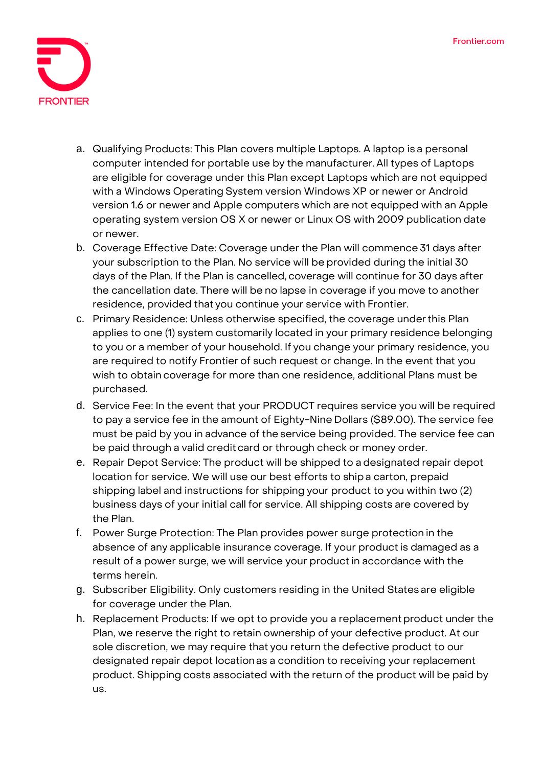

- a. Qualifying Products: This Plan covers multiple Laptops. A laptop is a personal computer intended for portable use by the manufacturer. All types of Laptops are eligible for coverage under this Plan except Laptops which are not equipped with a Windows Operating System version Windows XP or newer or Android version 1.6 or newer and Apple computers which are not equipped with an Apple operating system version OS X or newer or Linux OS with 2009 publication date or newer.
- b. Coverage Effective Date: Coverage under the Plan will commence 31 days after your subscription to the Plan. No service will be provided during the initial 30 days of the Plan. If the Plan is cancelled, coverage will continue for 30 days after the cancellation date. There will be no lapse in coverage if you move to another residence, provided that you continue your service with Frontier.
- c. Primary Residence: Unless otherwise specified, the coverage underthis Plan applies to one (1) system customarily located in your primary residence belonging to you or a member of your household. If you change your primary residence, you are required to notify Frontier of such request or change. In the event that you wish to obtain coverage for more than one residence, additional Plans must be purchased.
- d. Service Fee: In the event that your PRODUCT requires service you will be required to pay a service fee in the amount of Eighty-Nine Dollars (\$89.00). The service fee must be paid by you in advance of theservice being provided. The service fee can be paid through a valid credit card or through check or money order.
- e. Repair Depot Service: The product will be shipped to a designated repair depot location for service. We will use our best efforts to shipa carton, prepaid shipping label and instructions for shipping your product to you within two (2) business days of your initial call for service. All shipping costs are covered by the Plan.
- f. Power Surge Protection: The Plan provides power surge protection in the absence of any applicable insurance coverage. If your product is damaged as a result of a power surge, we will service your productin accordance with the terms herein.
- g. Subscriber Eligibility. Only customers residing in the United States are eligible for coverage under the Plan.
- h. Replacement Products: If we opt to provide you a replacement product under the Plan, we reserve the right to retain ownership of your defective product. At our sole discretion, we may require that you return the defective product to our designated repair depot locationas a condition to receiving your replacement product. Shipping costs associated with the return of the product will be paid by us.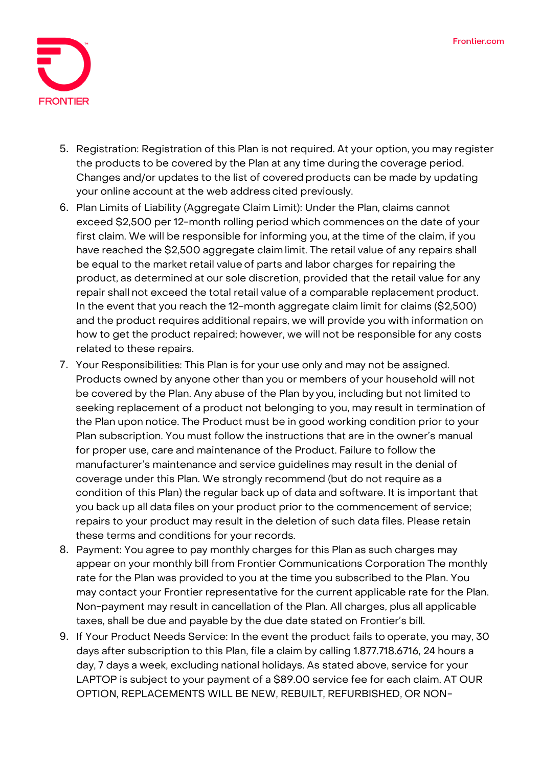

- 5. **Registration:** Registration of this Plan is not required. At your option, you may register the products to be covered by the Plan at any time during the coverage period. Changes and/or updates to the list of covered products can be made by updating your online account at the web address cited previously.
- 6. **Plan Limits of Liability (Aggregate Claim Limit):** Under the Plan, claims cannot exceed \$2,500 per 12-month rolling period which commences on the date of your first claim. We will be responsible for informing you, atthe time of the claim, if you have reached the \$2,500 aggregate claim limit. The retail value of any repairs shall be equal to the market retail value of parts and labor charges for repairing the product, as determined at our sole discretion, provided that the retail value for any repair shall not exceed the total retail value of a comparable replacement product. In the event that you reach the 12-month aggregate claim limit for claims (\$2,500) and the product requires additional repairs, we will provide you with information on how to get the product repaired; however, we will not be responsible for any costs related to these repairs.
- 7. **Your Responsibilities:** This Plan is for your use only and may not be assigned. Products owned by anyone other than you or members of your household will not be covered by the Plan. Any abuse of the Plan by you, including but not limited to seeking replacement of a product not belonging to you, may result in termination of the Plan upon notice. The Product must be in good working condition prior to your Plan subscription. You must follow the instructions that are in the owner's manual for proper use, care and maintenance of the Product. Failure to follow the manufacturer's maintenance and service guidelines may result in the denial of coverage under this Plan. We strongly recommend (but do not require as a condition of this Plan) the regular back up of data and software. It is important that you back up all data files on your product prior to the commencement of service; repairs to your product may result in the deletion of such data files. Please retain these terms and conditions for your records.
- 8. **Payment:** You agree to pay monthly charges for this Plan as such charges may appear on your monthly bill from Frontier Communications Corporation The monthly rate for the Plan was provided to you at the time you subscribed to the Plan. You may contact your Frontier representative for the current applicable rate for the Plan. Non-payment may result in cancellation of the Plan. All charges, plus all applicable taxes, shall be due and payable by the due date stated on Frontier's bill.
- 9. **If Your Product Needs Service:** In the event the product fails to operate, you may, 30 days after subscription to this Plan, file a claim by calling 1.877.718.6716, 24 hours a day, 7 days a week, excluding national holidays. As stated above, service for your LAPTOP is subject to your payment of a \$89.00 service fee for each claim. **AT OUR OPTION, REPLACEMENTS WILL BE NEW, REBUILT, REFURBISHED, OR NON-**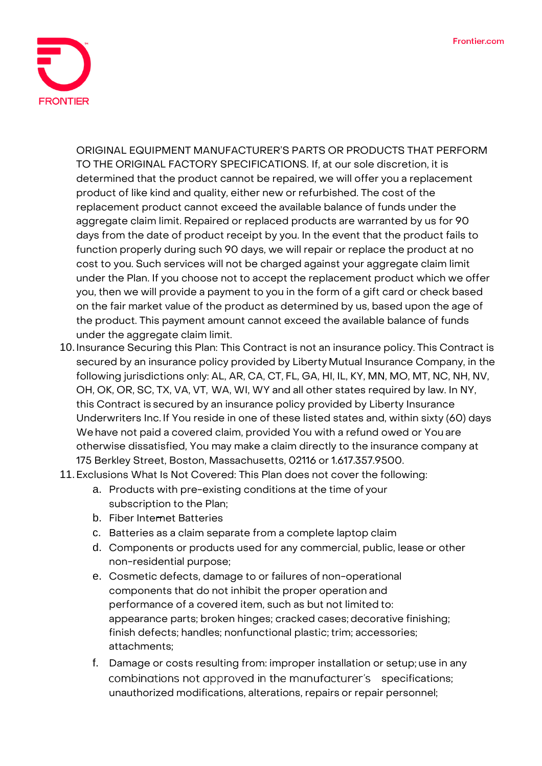

**ORIGINAL EQUIPMENT MANUFACTURER'S PARTS OR PRODUCTS THAT PERFORM TO THE ORIGINAL FACTORY SPECIFICATIONS.** If, at our sole discretion, it is determined that the product cannot be repaired, we will offer you a replacement product of like kind and quality, either new or refurbished. The cost of the replacement product cannot exceed the available balance of funds under the aggregate claim limit. Repaired or replaced products are warranted by us for 90 days from the date of product receipt by you. In the event that the product fails to function properly during such 90 days, we will repair or replace the product at no cost to you. Such services will not be charged against your aggregate claim limit under the Plan. If you choose not to accept the replacement product which we offer you, then we will provide a payment to you in the form of a gift card or check based on the fair market value of the product as determined by us, based upon the age of the product. This payment amount cannot exceed the available balance of funds under the aggregate claim limit.

- 10.**Insurance Securing this Plan:** This Contract is not an insurance policy. This Contract is secured by an insurance policy provided by Liberty Mutual Insurance Company, in the following jurisdictions only: AL, AR, CA, CT, FL, GA, HI, IL, KY, MN, MO, MT, NC, NH, NV, OH, OK, OR, SC, TX, VA, VT, WA, WI, WY and all other states required by law. In NY, this Contract is secured by an insurance policy provided by Liberty Insurance Underwriters Inc. If You reside in one of these listed states and, within sixty (60) days Wehave not paid a covered claim, provided You with a refund owed or You are otherwise dissatisfied, You may make a claim directly to the insurance company at 175 Berkley Street, Boston, Massachusetts, 02116 or 1.617.357.9500.
- 11.**Exclusions What Is Not Covered:** This Plan does not cover the following:
	- a. Products with pre-existing conditions at the time of your subscription to the Plan;
	- b. Fiber Internet Batteries
	- c. Batteries as a claim separate from a complete laptop claim
	- d. Components or products used for any commercial, public, lease or other non-residential purpose;
	- e. Cosmetic defects, damage to or failures of non-operational components that do not inhibit the proper operation and performance of a covered item, such as but not limited to: appearance parts; broken hinges; cracked cases; decorative finishing; finish defects; handles; nonfunctional plastic; trim; accessories; attachments;
	- f. Damage or costs resulting from: improper installation or setup; use in any combinations not approved in the manufacturer's specifications; unauthorized modifications, alterations, repairs or repair personnel;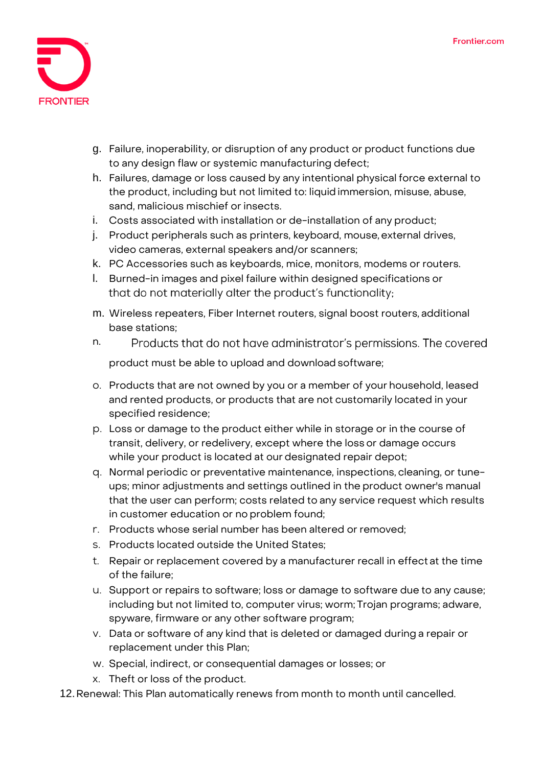

- g. Failure, inoperability, or disruption of any product or product functions due to any design flaw or systemic manufacturing defect;
- h. Failures, damage or loss caused by any intentional physical force external to the product, including but not limited to: liquidimmersion, misuse, abuse, sand, malicious mischief or insects.
- i. Costs associated with installation or de-installation of any product;
- j. Product peripherals such as printers, keyboard, mouse, external drives, video cameras, external speakers and/or scanners;
- k. PC Accessories such as keyboards, mice, monitors, modems or routers.
- l. Burned-in images and pixel failure within designed specifications or that do not materially alter the product's functionality;
- m. Wireless repeaters, Fiber Internet routers, signal boost routers, additional base stations;
- n. Products that do not have administrator's permissions. The covered

product must be able to upload and download software;

- o. Products that are not owned by you or a member of your household, leased and rented products, or products that are not customarily located in your specified residence;
- p. Loss or damage to the product either while in storage or in the course of transit, delivery, or redelivery, except where the loss or damage occurs while your product is located at our designated repair depot;
- q. Normal periodic or preventative maintenance, inspections, cleaning, or tuneups; minor adjustments and settings outlined in the product owner's manual that the user can perform; costs related to any service request which results in customer education or no problem found;
- r. Products whose serial number has been altered or removed;
- s. Products located outside the United States;
- t. Repair or replacement covered by a manufacturer recall in effect at the time of the failure;
- u. Support or repairs to software; loss or damage to software due to any cause; including but not limited to, computer virus; worm; Trojan programs; adware, spyware, firmware or any other software program;
- v. Data or software of any kind that is deleted or damaged during a repair or replacement under this Plan;
- w. Special, indirect, or consequential damages or losses; or
- x. Theft or loss of the product.
- 12.**Renewal:** This Plan automatically renews from month to month until cancelled.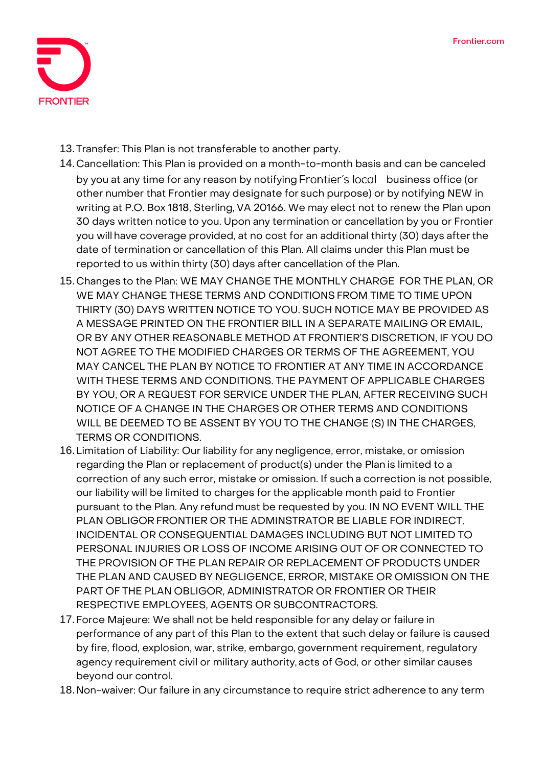

13.**Transfer:** This Plan is not transferable to another party.

- 14.**Cancellation:** This Plan is provided on a month-to-month basis and can be canceled by you at any time for any reason by notifying Frontier's local business office (or other number that Frontier may designate for such purpose) or by notifying NEW in writing at P.O. Box 1818, Sterling, VA 20166. We may elect not to renew the Plan upon 30 days written notice to you. Upon any termination or cancellation by you or Frontier you will have coverage provided, at no cost for an additional thirty (30) days afterthe date of termination or cancellation of this Plan. All claims under this Plan must be reported to us within thirty (30) days after cancellation of the Plan.
- 15.**Changes to the Plan:** WE MAY CHANGE THE MONTHLY CHARGE FOR THE PLAN, OR WE MAY CHANGE THESE TERMS AND CONDITIONSFROM TIME TO TIME UPON THIRTY (30) DAYS WRITTEN NOTICE TO YOU. SUCH NOTICE MAY BE PROVIDED AS A MESSAGE PRINTED ON THE FRONTIER BILL IN A SEPARATE MAILING OR EMAIL, OR BY ANY OTHER REASONABLE METHOD AT FRONTIER'S DISCRETION, IF YOU DO NOT AGREE TO THE MODIFIED CHARGES OR TERMS OF THE AGREEMENT, YOU MAY CANCEL THE PLAN BY NOTICE TO FRONTIER AT ANY TIME IN ACCORDANCE WITH THESE TERMS AND CONDITIONS. THE PAYMENT OF APPLICABLE CHARGES BY YOU, OR A REQUEST FOR SERVICE UNDER THE PLAN, AFTER RECEIVING SUCH NOTICE OF A CHANGE IN THE CHARGES OR OTHER TERMS AND CONDITIONS WILL BE DEEMED TO BE ASSENT BY YOU TO THE CHANGE (S) IN THE CHARGES, TERMS OR CONDITIONS.
- 16.**Limitation of Liability:** Our liability for any negligence, error, mistake, or omission regarding the Plan or replacement of product(s) under the Plan is limited to a correction of any such error, mistake or omission. If such a correction is not possible, our liability will be limited to charges for the applicable month paid to Frontier pursuant to the Plan. Any refund must be requested by you. IN NO EVENT WILL THE PLAN OBLIGOR FRONTIER OR THE ADMINSTRATOR BE LIABLE FOR INDIRECT, INCIDENTAL OR CONSEQUENTIAL DAMAGES INCLUDING BUT NOT LIMITED TO PERSONAL INJURIES OR LOSS OF INCOME ARISING OUT OF OR CONNECTED TO THE PROVISION OF THE PLAN REPAIR OR REPLACEMENT OF PRODUCTS UNDER THE PLAN AND CAUSED BY NEGLIGENCE, ERROR, MISTAKE OR OMISSION ON THE PART OF THE PLAN OBLIGOR, ADMINISTRATOR OR FRONTIER OR THEIR RESPECTIVE EMPLOYEES, AGENTS OR SUBCONTRACTORS.
- 17.**Force Majeure:** We shall not be held responsible for any delay or failure in performance of any part of this Plan to the extent that such delay or failure is caused by fire, flood, explosion, war, strike, embargo, government requirement, regulatory agency requirement civil or military authority, acts of God, or other similar causes beyond our control.
- 18.**Non-waiver:** Our failure in any circumstance to require strict adherence to any term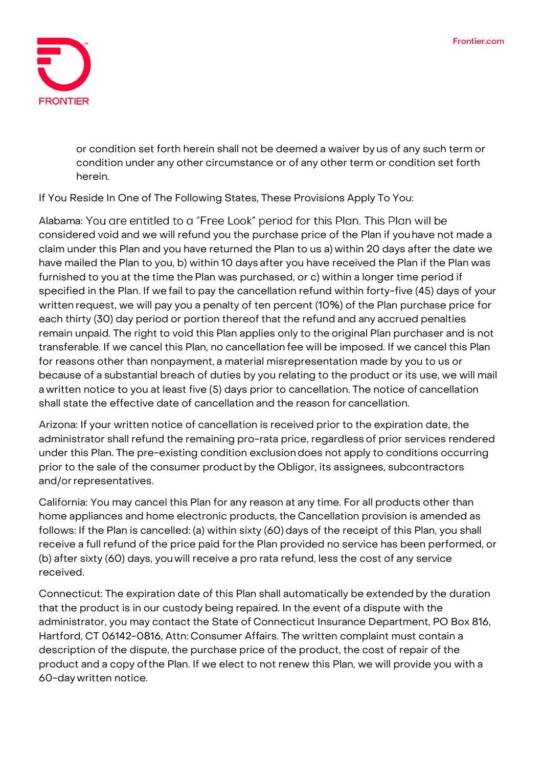

or condition set forth herein shall not be deemed a waiver by us of any such term or condition under any other circumstance or of any other term or condition set forth herein.

**If You Reside In One of The Following States, These Provisions Apply To You:**

Alabama: You are entitled to a "Free Look" period for this Plan. This Plan will be considered void and we will refund you the purchase price of the Plan if youhave not made a claim under this Plan and you have returned the Plan to us a) within 20 days after the date we have mailed the Plan to you, b) within 10 days after you have received the Plan if the Plan was furnished to you at the time the Plan was purchased, or c) within a longer time period if specified in the Plan. If wefail to pay the cancellation refund within forty-five (45) days of your written request, we will pay you a penalty of ten percent (10%) of the Plan purchase price for each thirty (30) day period or portion thereof that the refund and any accrued penalties remain unpaid. The right to void this Plan applies only to the original Plan purchaser and is not transferable. If we cancel this Plan, no cancellation fee will be imposed. If we cancel this Plan for reasons other than nonpayment, a material misrepresentation made by you to us or because of a substantial breach of duties by you relating to the product or its use, we will mail a written notice to you at least five (5) days prior to cancellation. The notice of cancellation shall state the effective date of cancellation and the reason for cancellation.

**Arizona:** If your written notice of cancellation is received prior to the expiration date, the administrator shall refund the remaining pro-rata price, regardless of prior services rendered under this Plan. The pre-existing condition exclusiondoes not apply to conditions occurring prior to the sale of the consumer productby the Obligor, its assignees, subcontractors and/or representatives.

**California:** You may cancel this Plan for any reason at any time. For all products other than home appliances and home electronic products, the Cancellation provision is amended as follows: If the Plan is cancelled: (a) within sixty (60) days of the receipt of this Plan, you shall receive a full refund of the price paid forthe Plan provided no service has been performed, or (b) after sixty (60) days, youwill receive a pro rata refund, less the cost of any service received.

**Connecticut:** The expiration date of this Plan shall automatically be extended by the duration that the product is in our custody being repaired. In the event of a dispute with the administrator, you may contact the State of Connecticut Insurance Department, PO Box 816, Hartford, CT 06142-0816, Attn: Consumer Affairs. The written complaint must contain a description of the dispute, the purchase price of the product, the cost of repair of the product and a copy ofthe Plan. If we elect to not renew this Plan, we will provide you with a 60-day written notice.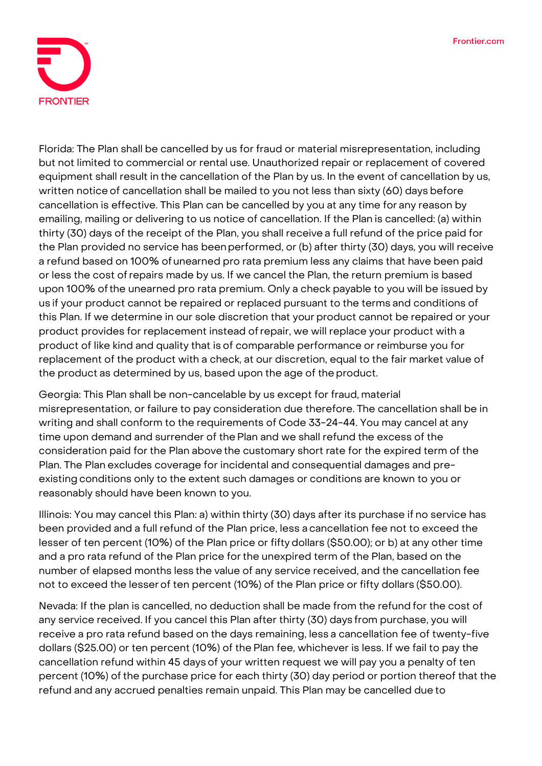

**Florida:** The Plan shall be cancelled by us for fraud or material misrepresentation, including but not limited to commercial or rental use. Unauthorized repair or replacement of covered equipment shall result in the cancellation of the Plan by us. In the event of cancellation by us, written notice of cancellation shall be mailed to you not less than sixty (60) days before cancellation is effective. This Plan can be cancelled by you at any time for any reason by emailing, mailing or delivering to us notice of cancellation. If the Plan is cancelled: (a) within thirty (30) days of the receipt of the Plan, you shall receive a full refund of the price paid for the Plan provided no service has beenperformed, or (b) after thirty (30) days, you will receive a refund based on 100% of unearned pro rata premium less any claims that have been paid or less the cost ofrepairs made by us. If we cancel the Plan, the return premium is based upon 100% ofthe unearned pro rata premium. Only a check payable to you will be issued by us if your product cannot be repaired or replaced pursuant to the terms and conditions of this Plan. If we determine in our sole discretion that your product cannot be repaired or your product provides for replacement instead ofrepair, we will replace your product with a product of like kind and quality that is of comparable performance or reimburse you for replacement of the product with a check, at our discretion, equal to the fair market value of the product as determined by us, based upon the age of the product.

**Georgia:** This Plan shall be non-cancelable by us except for fraud, material misrepresentation, or failure to pay consideration due therefore. The cancellation shall be in writing and shall conform to the requirements of Code 33-24-44. You may cancel at any time upon demand and surrender of the Plan and we shall refund the excess of the consideration paid for the Plan above the customary short rate for the expired term of the Plan. The Plan excludes coverage for incidental and consequential damages and preexisting conditions only to the extent such damages or conditions are known to you or reasonably should have been known to you.

**Illinois:** You may cancel this Plan: a) within thirty (30) days after its purchase if no service has been provided and a full refund of the Plan price, less a cancellation fee not to exceed the lesser of ten percent (10%) of the Plan price or fifty dollars (\$50.00); or b) at any other time and a pro rata refund of the Plan price forthe unexpired term of the Plan, based on the number of elapsed months less the value of any service received, and the cancellation fee not to exceed the lesserof ten percent (10%) of the Plan price or fifty dollars (\$50.00).

**Nevada:** If the plan is cancelled, no deduction shall be made from the refund for the cost of any service received. If you cancel this Plan after thirty (30) days from purchase, you will receive a pro rata refund based on the days remaining, less a cancellation fee of twenty-five dollars (\$25.00) or ten percent (10%) of the Plan fee, whichever is less. If we fail to pay the cancellation refund within 45 days of your written request we will pay you a penalty of ten percent (10%) of the purchase price for each thirty (30) day period or portion thereof that the refund and any accrued penalties remain unpaid. This Plan may be cancelled due to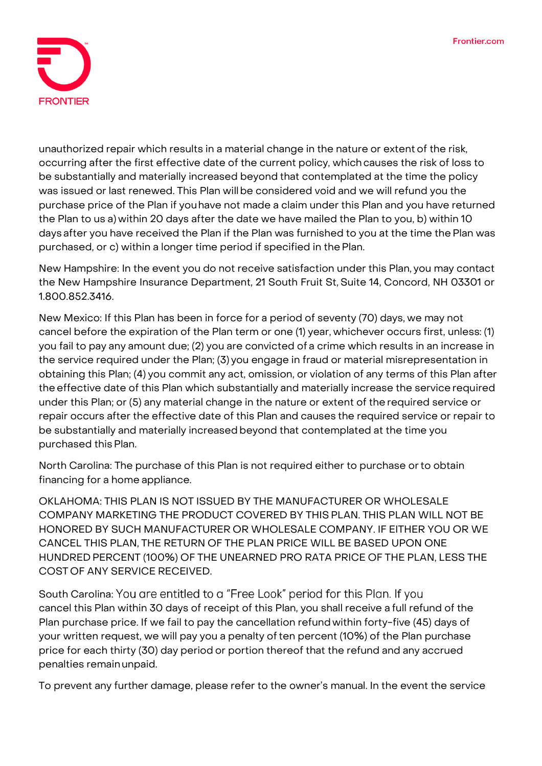

unauthorized repair which results in a material change in the nature or extent of the risk, occurring after the first effective date of the current policy, whichcauses the risk of loss to be substantially and materially increased beyond that contemplated at the time the policy was issued or last renewed. This Plan willbe considered void and we will refund you the purchase price of the Plan if youhave not made a claim under this Plan and you have returned the Plan to us a) within 20 days after the date we have mailed the Plan to you, b) within 10 days after you have received the Plan if the Plan was furnished to you at the time thePlan was purchased, or c) within a longer time period if specified in thePlan.

**New Hampshire:** In the event you do not receive satisfaction under this Plan, you may contact the New Hampshire Insurance Department, 21 South Fruit St, Suite 14, Concord, NH 03301 or 1.800.852.3416.

**New Mexico:** If this Plan has been in force for a period of seventy (70) days, we may not cancel before the expiration of the Plan term or one (1) year, whichever occurs first, unless: (1) you fail to pay any amount due; (2) you are convicted of a crime which results in an increase in the service required under the Plan; (3) you engage in fraud or material misrepresentation in obtaining this Plan; (4) you commit any act, omission, or violation of any terms of this Plan after the effective date of this Plan which substantially and materially increase the service required under this Plan; or (5) any material change in the nature or extent of the required service or repair occurs after the effective date of this Plan and causes the required service or repair to be substantially and materially increased beyond that contemplated at the time you purchased thisPlan.

**North Carolina:** The purchase of this Plan is not required either to purchase orto obtain financing for a home appliance.

**OKLAHOMA:** THIS PLAN IS NOT ISSUED BY THE MANUFACTURER OR WHOLESALE COMPANY MARKETING THE PRODUCT COVERED BY THIS PLAN. THIS PLAN WILL NOT BE HONORED BY SUCH MANUFACTURER OR WHOLESALE COMPANY. IF EITHER YOU OR WE CANCEL THIS PLAN, THE RETURN OF THE PLAN PRICE WILL BE BASED UPON ONE HUNDRED PERCENT (100%) OF THE UNEARNED PRO RATA PRICE OF THE PLAN, LESS THE COST OF ANY SERVICE RECEIVED.

South Carolina: You are entitled to a "Free Look" period for this Plan. If you cancel this Plan within 30 days of receipt of this Plan, you shall receive a full refund of the Plan purchase price. If we fail to pay the cancellation refundwithin forty-five (45) days of your written request, we will pay you a penalty of ten percent (10%) of the Plan purchase price for each thirty (30) day period or portion thereof that the refund and any accrued penalties remainunpaid.

To prevent any further damage, please refer to the owner's manual. In the event the service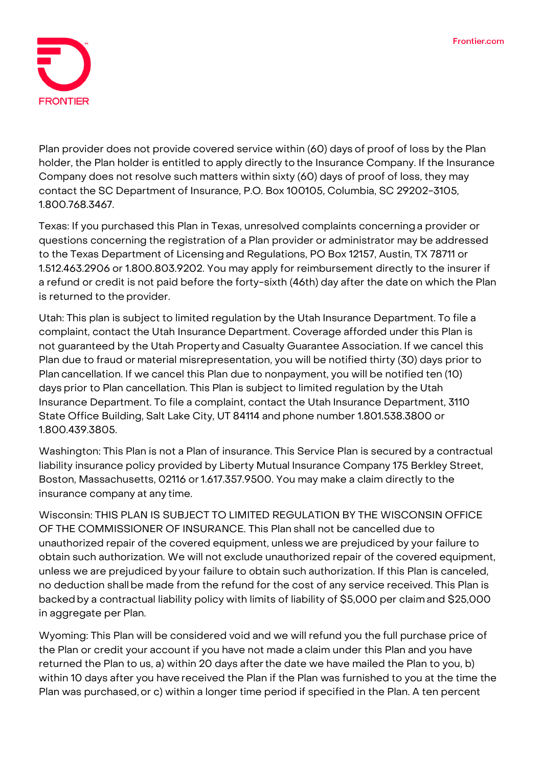

Plan provider does not provide covered service within (60) days of proof of loss by the Plan holder, the Plan holder is entitled to apply directly to the Insurance Company. If the Insurance Company does not resolve such matters within sixty (60) days of proof of loss, they may contact the SC Department of Insurance, P.O. Box 100105, Columbia, SC 29202-3105, 1.800.768.3467.

**Texas:** If you purchased this Plan in Texas, unresolved complaints concerninga provider or questions concerning the registration of a Plan provider or administrator may be addressed to the Texas Department of Licensing and Regulations, PO Box 12157, Austin, TX 78711 or 1.512.463.2906 or 1.800.803.9202. You may apply for reimbursement directly to the insurer if a refund or credit is not paid before the forty-sixth (46th) day after the date on which the Plan is returned to the provider.

**Utah:** This plan is subject to limited regulation by the Utah Insurance Department. To file a complaint, contact the Utah Insurance Department. Coverage afforded under this Plan is not guaranteed by the Utah Property and Casualty Guarantee Association. If we cancel this Plan due to fraud or material misrepresentation, you will be notified thirty (30) days prior to Plan cancellation. If we cancel this Plan due to nonpayment, you will be notified ten (10) days prior to Plan cancellation. This Plan is subject to limited regulation by the Utah Insurance Department. To file a complaint, contact the Utah Insurance Department, 3110 State Office Building, Salt Lake City, UT 84114 and phone number 1.801.538.3800 or 1.800.439.3805.

**Washington:** This Plan is not a Plan of insurance. This Service Plan is secured by a contractual liability insurance policy provided by Liberty Mutual Insurance Company 175 Berkley Street, Boston, Massachusetts, 02116 or 1.617.357.9500. You may make a claim directly to the insurance company at any time.

**Wisconsin: THIS PLAN IS SUBJECT TO LIMITED REGULATION BY THE WISCONSIN OFFICE OF THE COMMISSIONER OF INSURANCE.** This Plan shall not be cancelled due to unauthorized repair of the covered equipment, unless we are prejudiced by your failure to obtain such authorization. We will not exclude unauthorized repair of the covered equipment, unless we are prejudiced by your failure to obtain such authorization. If this Plan is canceled, no deduction shall be made from the refund for the cost of any service received. This Plan is backedby a contractual liability policy with limits of liability of \$5,000 per claim and \$25,000 in aggregate per Plan.

**Wyoming:** This Plan will be considered void and we will refund you the full purchase price of the Plan or credit your account if you have not made a claim under this Plan and you have returned the Plan to us, a) within 20 days afterthe date we have mailed the Plan to you, b) within 10 days after you have received the Plan if the Plan was furnished to you at the time the Plan was purchased,or c) within a longer time period if specified in the Plan. A ten percent